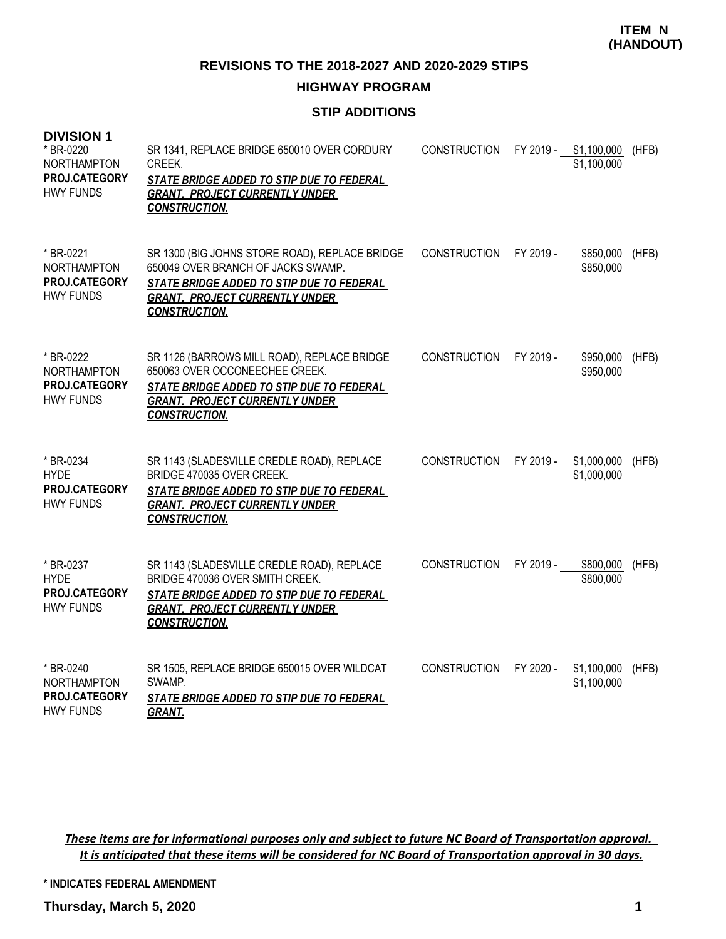**REVISIONS TO THE 2018-2027 AND 2020-2029 STIPS**

## **HIGHWAY PROGRAM**

## **STIP ADDITIONS**

| <b>DIVISION 1</b><br>* BR-0220<br><b>NORTHAMPTON</b><br>PROJ.CATEGORY<br><b>HWY FUNDS</b> | SR 1341, REPLACE BRIDGE 650010 OVER CORDURY<br>CREEK.<br><b>STATE BRIDGE ADDED TO STIP DUE TO FEDERAL</b><br><b>GRANT. PROJECT CURRENTLY UNDER</b><br><b>CONSTRUCTION.</b>                         | <b>CONSTRUCTION</b> |           | FY 2019 - \$1,100,000<br>\$1,100,000 | (HFB) |
|-------------------------------------------------------------------------------------------|----------------------------------------------------------------------------------------------------------------------------------------------------------------------------------------------------|---------------------|-----------|--------------------------------------|-------|
| * BR-0221<br><b>NORTHAMPTON</b><br>PROJ.CATEGORY<br><b>HWY FUNDS</b>                      | SR 1300 (BIG JOHNS STORE ROAD), REPLACE BRIDGE<br>650049 OVER BRANCH OF JACKS SWAMP.<br>STATE BRIDGE ADDED TO STIP DUE TO FEDERAL<br><b>GRANT. PROJECT CURRENTLY UNDER</b><br><b>CONSTRUCTION.</b> | <b>CONSTRUCTION</b> | FY 2019 - | \$850,000<br>\$850,000               | (HFB) |
| * BR-0222<br>NORTHAMPTON<br>PROJ.CATEGORY<br><b>HWY FUNDS</b>                             | SR 1126 (BARROWS MILL ROAD), REPLACE BRIDGE<br>650063 OVER OCCONEECHEE CREEK.<br>STATE BRIDGE ADDED TO STIP DUE TO FEDERAL<br><b>GRANT. PROJECT CURRENTLY UNDER</b><br><b>CONSTRUCTION.</b>        | <b>CONSTRUCTION</b> | FY 2019 - | \$950,000<br>\$950,000               | (HFB) |
| * BR-0234<br><b>HYDE</b><br><b>PROJ.CATEGORY</b><br><b>HWY FUNDS</b>                      | SR 1143 (SLADESVILLE CREDLE ROAD), REPLACE<br>BRIDGE 470035 OVER CREEK.<br>STATE BRIDGE ADDED TO STIP DUE TO FEDERAL<br><b>GRANT. PROJECT CURRENTLY UNDER</b><br><b>CONSTRUCTION.</b>              | <b>CONSTRUCTION</b> | FY 2019 - | \$1,000,000<br>\$1,000,000           | (HFB) |
| * BR-0237<br><b>HYDE</b><br><b>PROJ.CATEGORY</b><br><b>HWY FUNDS</b>                      | SR 1143 (SLADESVILLE CREDLE ROAD), REPLACE<br>BRIDGE 470036 OVER SMITH CREEK.<br>STATE BRIDGE ADDED TO STIP DUE TO FEDERAL<br><b>GRANT. PROJECT CURRENTLY UNDER</b><br><b>CONSTRUCTION.</b>        | <b>CONSTRUCTION</b> | FY 2019 - | \$800,000<br>\$800,000               | (HFB) |
| * BR-0240<br>NORTHAMPTON<br><b>PROJ.CATEGORY</b><br><b>HWY FUNDS</b>                      | SR 1505, REPLACE BRIDGE 650015 OVER WILDCAT<br>SWAMP.<br>STATE BRIDGE ADDED TO STIP DUE TO FEDERAL<br><b>GRANT.</b>                                                                                | <b>CONSTRUCTION</b> | FY 2020 - | \$1,100,000<br>\$1,100,000           | (HFB) |

*These items are for informational purposes only and subject to future NC Board of Transportation approval. It is anticipated that these items will be considered for NC Board of Transportation approval in 30 days.*

**\* INDICATES FEDERAL AMENDMENT**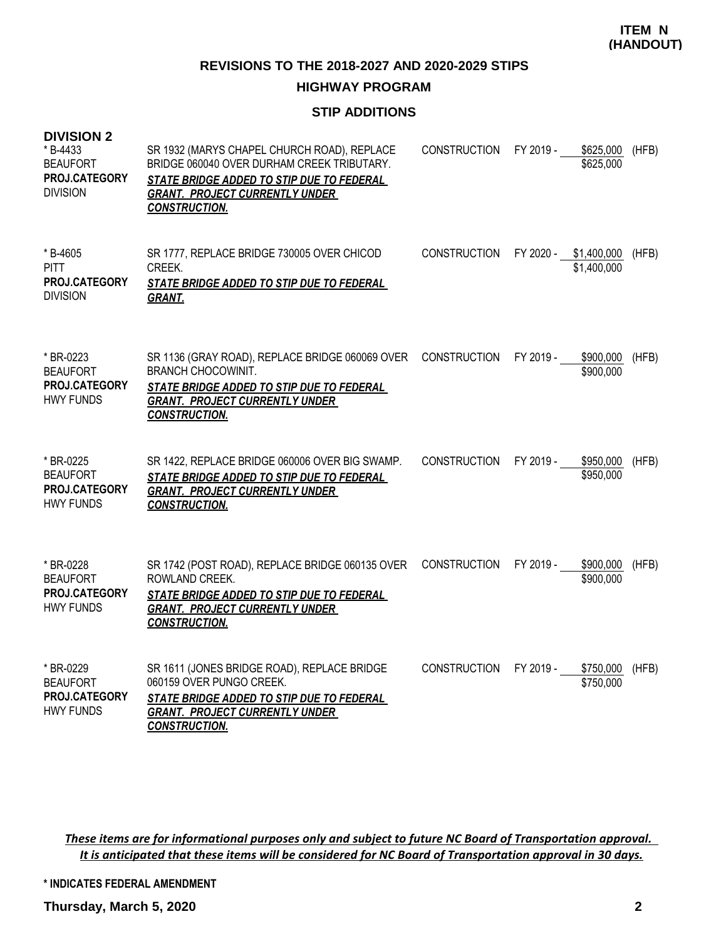**REVISIONS TO THE 2018-2027 AND 2020-2029 STIPS**

## **HIGHWAY PROGRAM**

# **STIP ADDITIONS**

| <b>DIVISION 2</b><br>* B-4433<br><b>BEAUFORT</b><br><b>PROJ.CATEGORY</b><br><b>DIVISION</b> | SR 1932 (MARYS CHAPEL CHURCH ROAD), REPLACE<br>BRIDGE 060040 OVER DURHAM CREEK TRIBUTARY.<br>STATE BRIDGE ADDED TO STIP DUE TO FEDERAL<br><b>GRANT. PROJECT CURRENTLY UNDER</b><br><b>CONSTRUCTION.</b> | <b>CONSTRUCTION</b> | FY 2019 - | \$625,000<br>\$625,000       | (HFB) |
|---------------------------------------------------------------------------------------------|---------------------------------------------------------------------------------------------------------------------------------------------------------------------------------------------------------|---------------------|-----------|------------------------------|-------|
| * B-4605<br><b>PITT</b><br>PROJ.CATEGORY<br><b>DIVISION</b>                                 | SR 1777, REPLACE BRIDGE 730005 OVER CHICOD<br>CREEK.<br>STATE BRIDGE ADDED TO STIP DUE TO FEDERAL<br><b>GRANT.</b>                                                                                      | <b>CONSTRUCTION</b> | FY 2020 - | \$1,400,000<br>\$1,400,000   | (HFB) |
| * BR-0223<br><b>BEAUFORT</b><br>PROJ.CATEGORY<br><b>HWY FUNDS</b>                           | SR 1136 (GRAY ROAD), REPLACE BRIDGE 060069 OVER<br><b>BRANCH CHOCOWINIT.</b><br>STATE BRIDGE ADDED TO STIP DUE TO FEDERAL<br><b>GRANT. PROJECT CURRENTLY UNDER</b><br><b>CONSTRUCTION.</b>              | <b>CONSTRUCTION</b> | FY 2019 - | \$900,000<br>\$900,000       | (HFB) |
| * BR-0225<br><b>BEAUFORT</b><br>PROJ.CATEGORY<br><b>HWY FUNDS</b>                           | SR 1422, REPLACE BRIDGE 060006 OVER BIG SWAMP.<br>STATE BRIDGE ADDED TO STIP DUE TO FEDERAL<br><b>GRANT. PROJECT CURRENTLY UNDER</b><br><b>CONSTRUCTION.</b>                                            | <b>CONSTRUCTION</b> | FY 2019 - | \$950,000<br>\$950,000       | (HFB) |
| * BR-0228<br><b>BEAUFORT</b><br>PROJ.CATEGORY<br><b>HWY FUNDS</b>                           | SR 1742 (POST ROAD), REPLACE BRIDGE 060135 OVER<br>ROWLAND CREEK.<br><b>STATE BRIDGE ADDED TO STIP DUE TO FEDERAL</b><br><b>GRANT. PROJECT CURRENTLY UNDER</b><br><b>CONSTRUCTION.</b>                  | <b>CONSTRUCTION</b> | FY 2019 - | \$900,000<br>\$900,000       | (HFB) |
| * BR-0229<br><b>BEAUFORT</b><br>PROJ.CATEGORY<br><b>HWY FUNDS</b>                           | SR 1611 (JONES BRIDGE ROAD), REPLACE BRIDGE<br>060159 OVER PUNGO CREEK.<br>STATE BRIDGE ADDED TO STIP DUE TO FEDERAL<br><b>GRANT. PROJECT CURRENTLY UNDER</b><br><b>CONSTRUCTION.</b>                   | <b>CONSTRUCTION</b> | FY 2019 - | \$750,000 (HFB)<br>\$750,000 |       |

*These items are for informational purposes only and subject to future NC Board of Transportation approval. It is anticipated that these items will be considered for NC Board of Transportation approval in 30 days.*

**\* INDICATES FEDERAL AMENDMENT**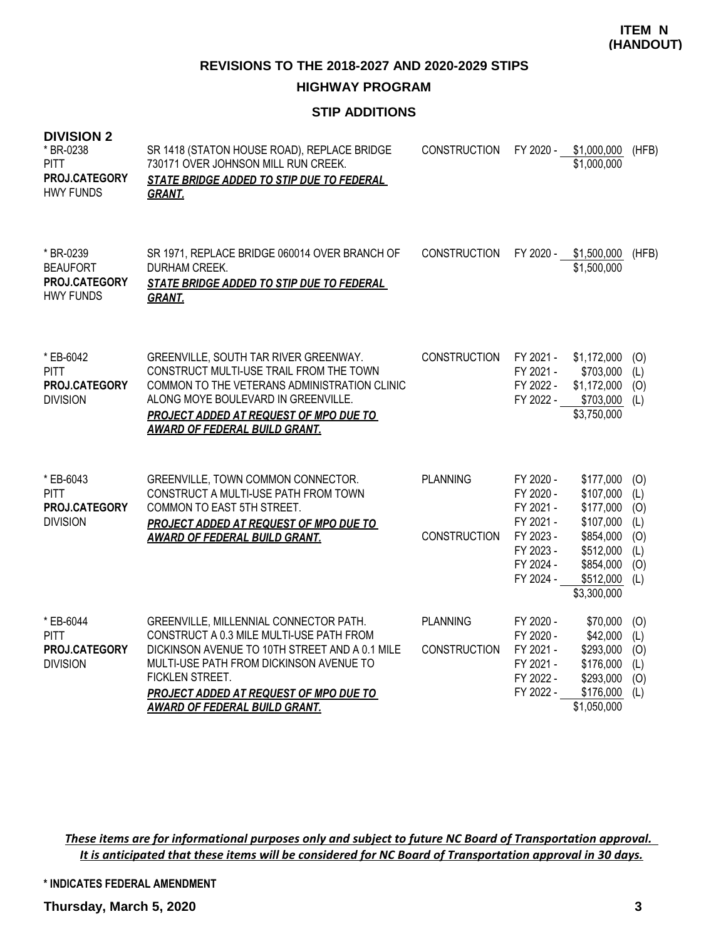**HIGHWAY PROGRAM**

# **STIP ADDITIONS**

| <b>DIVISION 2</b><br>* BR-0238<br><b>PITT</b><br>PROJ.CATEGORY<br><b>HWY FUNDS</b> | SR 1418 (STATON HOUSE ROAD), REPLACE BRIDGE<br>730171 OVER JOHNSON MILL RUN CREEK.<br>STATE BRIDGE ADDED TO STIP DUE TO FEDERAL<br><b>GRANT.</b>                                                                                                                              | <b>CONSTRUCTION</b>                    | FY 2020 -                                                                  | \$1,000,000<br>\$1,000,000                                                              | (HFB)                                  |
|------------------------------------------------------------------------------------|-------------------------------------------------------------------------------------------------------------------------------------------------------------------------------------------------------------------------------------------------------------------------------|----------------------------------------|----------------------------------------------------------------------------|-----------------------------------------------------------------------------------------|----------------------------------------|
| * BR-0239<br><b>BEAUFORT</b><br>PROJ.CATEGORY<br><b>HWY FUNDS</b>                  | SR 1971, REPLACE BRIDGE 060014 OVER BRANCH OF<br>DURHAM CREEK.<br>STATE BRIDGE ADDED TO STIP DUE TO FEDERAL<br><b>GRANT.</b>                                                                                                                                                  | <b>CONSTRUCTION</b>                    |                                                                            | FY 2020 - \$1,500,000<br>\$1,500,000                                                    | (HFB)                                  |
| * EB-6042<br><b>PITT</b><br>PROJ.CATEGORY<br><b>DIVISION</b>                       | GREENVILLE, SOUTH TAR RIVER GREENWAY.<br>CONSTRUCT MULTI-USE TRAIL FROM THE TOWN<br>COMMON TO THE VETERANS ADMINISTRATION CLINIC<br>ALONG MOYE BOULEVARD IN GREENVILLE.<br>PROJECT ADDED AT REQUEST OF MPO DUE TO<br><b>AWARD OF FEDERAL BUILD GRANT.</b>                     | <b>CONSTRUCTION</b>                    | FY 2021 -<br>FY 2021 -<br>FY 2022 -<br>FY 2022 -                           | \$1,172,000<br>\$703,000<br>\$1,172,000<br>\$703,000<br>\$3,750,000                     | (0)<br>(L)<br>(O)<br>(L)               |
| * EB-6043<br><b>PITT</b><br>PROJ.CATEGORY<br><b>DIVISION</b>                       | GREENVILLE, TOWN COMMON CONNECTOR.<br>CONSTRUCT A MULTI-USE PATH FROM TOWN<br>COMMON TO EAST 5TH STREET.<br>PROJECT ADDED AT REQUEST OF MPO DUE TO                                                                                                                            | <b>PLANNING</b><br><b>CONSTRUCTION</b> | FY 2020 -<br>FY 2020 -<br>FY 2021 -<br>FY 2021 -<br>FY 2023 -              | \$177,000<br>\$107,000<br>\$177,000<br>\$107,000<br>\$854,000                           | (O)<br>(L)<br>(O)<br>(L)<br>(0)        |
|                                                                                    | <b>AWARD OF FEDERAL BUILD GRANT.</b>                                                                                                                                                                                                                                          |                                        | FY 2023 -<br>FY 2024 -<br>FY 2024 -                                        | \$512,000<br>\$854,000<br>\$512,000<br>\$3,300,000                                      | (L)<br>(O)<br>(L)                      |
| * EB-6044<br><b>PITT</b><br>PROJ.CATEGORY<br><b>DIVISION</b>                       | GREENVILLE, MILLENNIAL CONNECTOR PATH.<br>CONSTRUCT A 0.3 MILE MULTI-USE PATH FROM<br>DICKINSON AVENUE TO 10TH STREET AND A 0.1 MILE<br>MULTI-USE PATH FROM DICKINSON AVENUE TO<br>FICKLEN STREET.<br>PROJECT ADDED AT REQUEST OF MPO DUE TO<br>AWARD OF FEDERAL BUILD GRANT. | <b>PLANNING</b><br><b>CONSTRUCTION</b> | FY 2020 -<br>FY 2020 -<br>FY 2021 -<br>FY 2021 -<br>FY 2022 -<br>FY 2022 - | \$70,000<br>\$42,000<br>\$293,000<br>\$176,000<br>\$293,000<br>\$176,000<br>\$1,050,000 | (O)<br>(L)<br>(O)<br>(L)<br>(O)<br>(L) |

*These items are for informational purposes only and subject to future NC Board of Transportation approval. It is anticipated that these items will be considered for NC Board of Transportation approval in 30 days.*

**\* INDICATES FEDERAL AMENDMENT**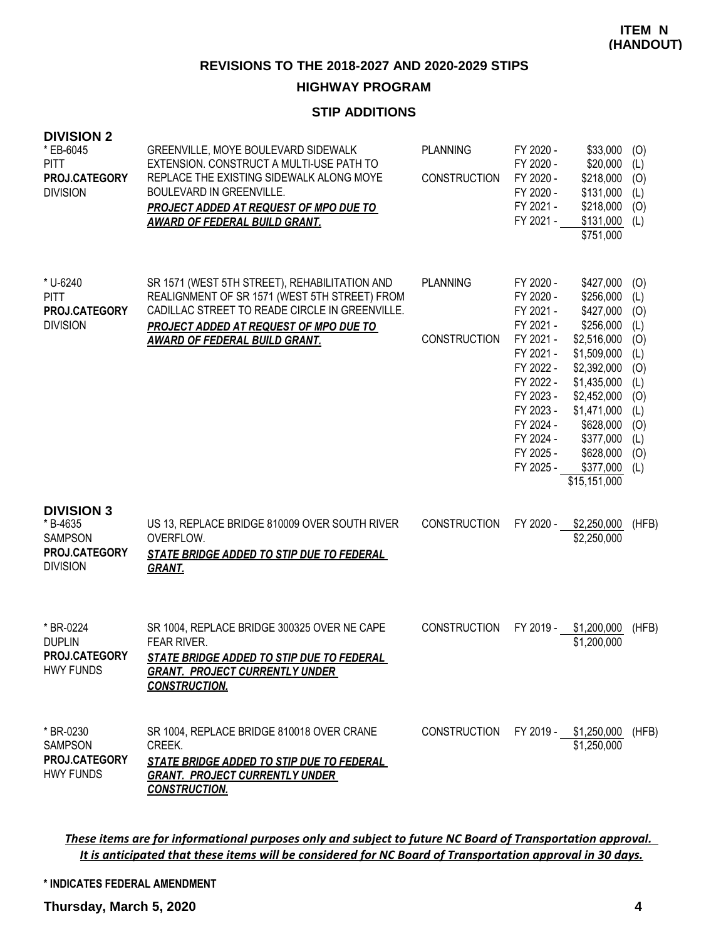# **HIGHWAY PROGRAM**

## **STIP ADDITIONS**

| <b>DIVISION 2</b><br>* EB-6045<br><b>PITT</b><br>PROJ.CATEGORY<br><b>DIVISION</b>   | GREENVILLE, MOYE BOULEVARD SIDEWALK<br>EXTENSION. CONSTRUCT A MULTI-USE PATH TO<br>REPLACE THE EXISTING SIDEWALK ALONG MOYE<br><b>BOULEVARD IN GREENVILLE.</b><br><b>PROJECT ADDED AT REQUEST OF MPO DUE TO</b><br><b>AWARD OF FEDERAL BUILD GRANT.</b> | <b>PLANNING</b><br><b>CONSTRUCTION</b> | FY 2020 -<br>FY 2020 -<br>FY 2020 -<br>FY 2020 -<br>FY 2021 -<br>FY 2021 -                                                                                                         | \$33,000<br>\$20,000<br>\$218,000<br>\$131,000<br>\$218,000<br>\$131,000<br>\$751,000                                                                                                                          | (O)<br>(L)<br>(O)<br>(L)<br>(O)<br>(L)                                                         |
|-------------------------------------------------------------------------------------|---------------------------------------------------------------------------------------------------------------------------------------------------------------------------------------------------------------------------------------------------------|----------------------------------------|------------------------------------------------------------------------------------------------------------------------------------------------------------------------------------|----------------------------------------------------------------------------------------------------------------------------------------------------------------------------------------------------------------|------------------------------------------------------------------------------------------------|
| * U-6240<br><b>PITT</b><br>PROJ.CATEGORY<br><b>DIVISION</b>                         | SR 1571 (WEST 5TH STREET), REHABILITATION AND<br>REALIGNMENT OF SR 1571 (WEST 5TH STREET) FROM<br>CADILLAC STREET TO READE CIRCLE IN GREENVILLE.<br>PROJECT ADDED AT REQUEST OF MPO DUE TO<br><b>AWARD OF FEDERAL BUILD GRANT.</b>                      | <b>PLANNING</b><br><b>CONSTRUCTION</b> | FY 2020 -<br>FY 2020 -<br>FY 2021 -<br>FY 2021 -<br>FY 2021 -<br>FY 2021 -<br>FY 2022 -<br>FY 2022 -<br>FY 2023 -<br>FY 2023 -<br>FY 2024 -<br>FY 2024 -<br>FY 2025 -<br>FY 2025 - | \$427,000<br>\$256,000<br>\$427,000<br>\$256,000<br>\$2,516,000<br>\$1,509,000<br>\$2,392,000<br>\$1,435,000<br>\$2,452,000<br>\$1,471,000<br>\$628,000<br>\$377,000<br>\$628,000<br>\$377,000<br>\$15,151,000 | (O)<br>(L)<br>(0)<br>(L)<br>(0)<br>(L)<br>(0)<br>(L)<br>(0)<br>(L)<br>(O)<br>(L)<br>(O)<br>(L) |
| <b>DIVISION 3</b><br>* B-4635<br><b>SAMPSON</b><br>PROJ.CATEGORY<br><b>DIVISION</b> | US 13, REPLACE BRIDGE 810009 OVER SOUTH RIVER<br>OVERFLOW.<br><b>STATE BRIDGE ADDED TO STIP DUE TO FEDERAL</b><br><b>GRANT.</b>                                                                                                                         | <b>CONSTRUCTION</b>                    | FY 2020 -                                                                                                                                                                          | \$2,250,000<br>\$2,250,000                                                                                                                                                                                     | (HFB)                                                                                          |
| * BR-0224<br><b>DUPLIN</b><br>PROJ.CATEGORY<br><b>HWY FUNDS</b>                     | SR 1004, REPLACE BRIDGE 300325 OVER NE CAPE<br><b>FEAR RIVER.</b><br>STATE BRIDGE ADDED TO STIP DUE TO FEDERAL<br><b>GRANT. PROJECT CURRENTLY UNDER</b><br><b>CONSTRUCTION.</b>                                                                         | <b>CONSTRUCTION</b>                    | FY 2019 -                                                                                                                                                                          | \$1,200,000<br>\$1,200,000                                                                                                                                                                                     | (HFB)                                                                                          |
| * BR-0230<br><b>SAMPSON</b><br>PROJ.CATEGORY<br><b>HWY FUNDS</b>                    | SR 1004, REPLACE BRIDGE 810018 OVER CRANE<br>CREEK.<br>STATE BRIDGE ADDED TO STIP DUE TO FEDERAL<br><b>GRANT. PROJECT CURRENTLY UNDER</b><br><b>CONSTRUCTION.</b>                                                                                       | <b>CONSTRUCTION</b>                    |                                                                                                                                                                                    | FY 2019 - \$1,250,000<br>\$1,250,000                                                                                                                                                                           | (HFB)                                                                                          |

*These items are for informational purposes only and subject to future NC Board of Transportation approval. It is anticipated that these items will be considered for NC Board of Transportation approval in 30 days.*

**\* INDICATES FEDERAL AMENDMENT**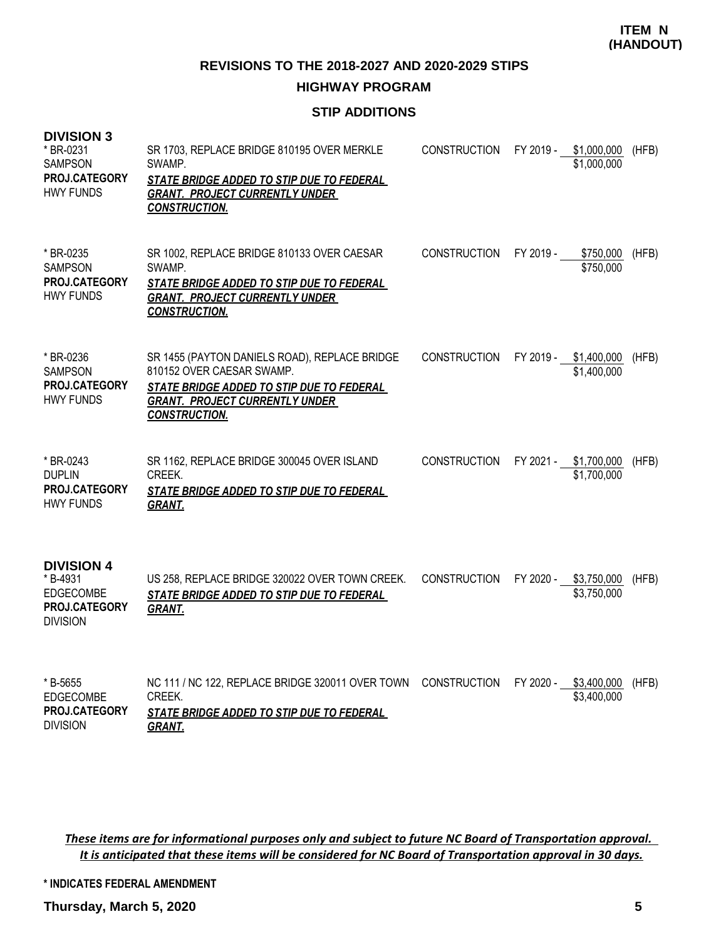**REVISIONS TO THE 2018-2027 AND 2020-2029 STIPS**

## **HIGHWAY PROGRAM**

## **STIP ADDITIONS**

| <b>DIVISION 3</b><br>* BR-0231<br><b>SAMPSON</b><br><b>PROJ.CATEGORY</b><br><b>HWY FUNDS</b> | SR 1703, REPLACE BRIDGE 810195 OVER MERKLE<br>SWAMP.<br>STATE BRIDGE ADDED TO STIP DUE TO FEDERAL<br><b>GRANT. PROJECT CURRENTLY UNDER</b><br><b>CONSTRUCTION.</b>                       | <b>CONSTRUCTION</b> |           | FY 2019 - \$1,000,000<br>\$1,000,000 | (HFB) |
|----------------------------------------------------------------------------------------------|------------------------------------------------------------------------------------------------------------------------------------------------------------------------------------------|---------------------|-----------|--------------------------------------|-------|
| * BR-0235<br><b>SAMPSON</b><br>PROJ.CATEGORY<br><b>HWY FUNDS</b>                             | SR 1002, REPLACE BRIDGE 810133 OVER CAESAR<br>SWAMP.<br>STATE BRIDGE ADDED TO STIP DUE TO FEDERAL<br><b>GRANT. PROJECT CURRENTLY UNDER</b><br><b>CONSTRUCTION.</b>                       | <b>CONSTRUCTION</b> | FY 2019 - | \$750,000<br>\$750,000               | (HFB) |
| * BR-0236<br><b>SAMPSON</b><br><b>PROJ.CATEGORY</b><br><b>HWY FUNDS</b>                      | SR 1455 (PAYTON DANIELS ROAD), REPLACE BRIDGE<br>810152 OVER CAESAR SWAMP.<br>STATE BRIDGE ADDED TO STIP DUE TO FEDERAL<br><b>GRANT. PROJECT CURRENTLY UNDER</b><br><b>CONSTRUCTION.</b> | <b>CONSTRUCTION</b> |           | FY 2019 - \$1,400,000<br>\$1,400,000 | (HFB) |
| * BR-0243<br><b>DUPLIN</b><br>PROJ.CATEGORY<br><b>HWY FUNDS</b>                              | SR 1162, REPLACE BRIDGE 300045 OVER ISLAND<br>CREEK.<br><b>STATE BRIDGE ADDED TO STIP DUE TO FEDERAL</b><br><b>GRANT.</b>                                                                | <b>CONSTRUCTION</b> |           | FY 2021 - \$1,700,000<br>\$1,700,000 | (HFB) |
| <b>DIVISION 4</b><br>* B-4931<br>EDGECOMBE<br>PROJ.CATEGORY<br><b>DIVISION</b>               | US 258, REPLACE BRIDGE 320022 OVER TOWN CREEK.<br>STATE BRIDGE ADDED TO STIP DUE TO FEDERAL<br><b>GRANT.</b>                                                                             | <b>CONSTRUCTION</b> | FY 2020 - | \$3,750,000<br>\$3,750,000           | (HFB) |
| * B-5655<br><b>EDGECOMBE</b><br>PROJ.CATEGORY<br><b>DIVISION</b>                             | NC 111 / NC 122, REPLACE BRIDGE 320011 OVER TOWN<br>CREEK.<br>STATE BRIDGE ADDED TO STIP DUE TO FEDERAL<br><b>GRANT.</b>                                                                 | <b>CONSTRUCTION</b> | FY 2020 - | \$3,400,000<br>\$3,400,000           | (HFB) |

*These items are for informational purposes only and subject to future NC Board of Transportation approval. It is anticipated that these items will be considered for NC Board of Transportation approval in 30 days.*

**\* INDICATES FEDERAL AMENDMENT**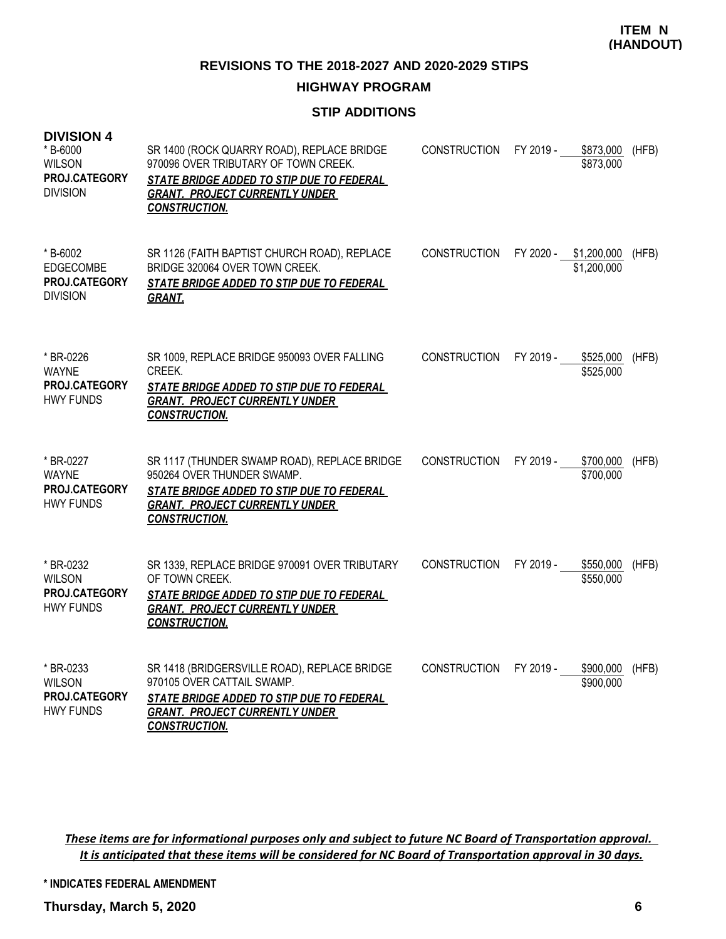**REVISIONS TO THE 2018-2027 AND 2020-2029 STIPS**

## **HIGHWAY PROGRAM**

## **STIP ADDITIONS**

| <b>DIVISION 4</b><br>* B-6000<br><b>WILSON</b><br>PROJ.CATEGORY<br><b>DIVISION</b> | SR 1400 (ROCK QUARRY ROAD), REPLACE BRIDGE<br>970096 OVER TRIBUTARY OF TOWN CREEK.<br>STATE BRIDGE ADDED TO STIP DUE TO FEDERAL<br><b>GRANT. PROJECT CURRENTLY UNDER</b><br><b>CONSTRUCTION.</b> | <b>CONSTRUCTION</b> | FY 2019 -<br>\$873,000<br>\$873,000  | (HFB) |
|------------------------------------------------------------------------------------|--------------------------------------------------------------------------------------------------------------------------------------------------------------------------------------------------|---------------------|--------------------------------------|-------|
| * B-6002<br><b>EDGECOMBE</b><br>PROJ.CATEGORY<br><b>DIVISION</b>                   | SR 1126 (FAITH BAPTIST CHURCH ROAD), REPLACE<br>BRIDGE 320064 OVER TOWN CREEK.<br>STATE BRIDGE ADDED TO STIP DUE TO FEDERAL<br><u>GRANT.</u>                                                     | <b>CONSTRUCTION</b> | FY 2020 - \$1,200,000<br>\$1,200,000 | (HFB) |
| * BR-0226<br><b>WAYNE</b><br><b>PROJ.CATEGORY</b><br><b>HWY FUNDS</b>              | SR 1009, REPLACE BRIDGE 950093 OVER FALLING<br>CREEK.<br><b>STATE BRIDGE ADDED TO STIP DUE TO FEDERAL</b><br><b>GRANT. PROJECT CURRENTLY UNDER</b><br><b>CONSTRUCTION.</b>                       | <b>CONSTRUCTION</b> | FY 2019 -<br>\$525,000<br>\$525,000  | (HFB) |
| * BR-0227<br><b>WAYNE</b><br>PROJ.CATEGORY<br><b>HWY FUNDS</b>                     | SR 1117 (THUNDER SWAMP ROAD), REPLACE BRIDGE<br>950264 OVER THUNDER SWAMP.<br><i>STATE BRIDGE ADDED TO STIP DUE TO FEDERAL</i><br><b>GRANT. PROJECT CURRENTLY UNDER</b><br><b>CONSTRUCTION.</b>  | <b>CONSTRUCTION</b> | FY 2019 -<br>\$700,000<br>\$700,000  | (HFB) |
| * BR-0232<br><b>WILSON</b><br>PROJ.CATEGORY<br><b>HWY FUNDS</b>                    | SR 1339, REPLACE BRIDGE 970091 OVER TRIBUTARY<br>OF TOWN CREEK.<br>STATE BRIDGE ADDED TO STIP DUE TO FEDERAL<br><b>GRANT. PROJECT CURRENTLY UNDER</b><br><b>CONSTRUCTION.</b>                    | <b>CONSTRUCTION</b> | FY 2019 -<br>\$550,000<br>\$550,000  | (HFB) |
| * BR-0233<br><b>WILSON</b><br>PROJ.CATEGORY<br><b>HWY FUNDS</b>                    | SR 1418 (BRIDGERSVILLE ROAD), REPLACE BRIDGE<br>970105 OVER CATTAIL SWAMP.<br>STATE BRIDGE ADDED TO STIP DUE TO FEDERAL<br><b>GRANT. PROJECT CURRENTLY UNDER</b><br><b>CONSTRUCTION.</b>         | <b>CONSTRUCTION</b> | FY 2019 -<br>\$900,000<br>\$900,000  | (HFB) |

*These items are for informational purposes only and subject to future NC Board of Transportation approval. It is anticipated that these items will be considered for NC Board of Transportation approval in 30 days.*

**\* INDICATES FEDERAL AMENDMENT**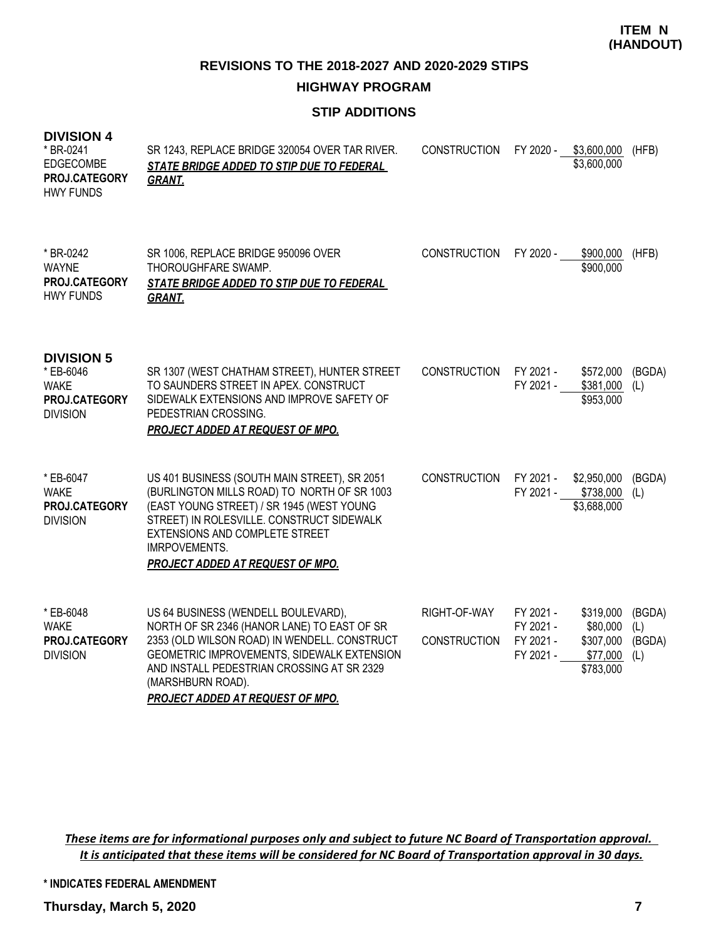**REVISIONS TO THE 2018-2027 AND 2020-2029 STIPS**

**HIGHWAY PROGRAM**

# **STIP ADDITIONS**

## **DIVISION 4**

| * BR-0241<br><b>EDGECOMBE</b><br>PROJ.CATEGORY<br><b>HWY FUNDS</b>                | SR 1243, REPLACE BRIDGE 320054 OVER TAR RIVER.<br>STATE BRIDGE ADDED TO STIP DUE TO FEDERAL<br><b>GRANT.</b>                                                                                                                                                                                   | <b>CONSTRUCTION</b>                 | FY 2020 -                                        | \$3,600,000<br>\$3,600,000                                  | (HFB)                          |
|-----------------------------------------------------------------------------------|------------------------------------------------------------------------------------------------------------------------------------------------------------------------------------------------------------------------------------------------------------------------------------------------|-------------------------------------|--------------------------------------------------|-------------------------------------------------------------|--------------------------------|
| * BR-0242<br><b>WAYNE</b><br>PROJ.CATEGORY<br><b>HWY FUNDS</b>                    | SR 1006, REPLACE BRIDGE 950096 OVER<br>THOROUGHFARE SWAMP.<br>STATE BRIDGE ADDED TO STIP DUE TO FEDERAL<br><b>GRANT.</b>                                                                                                                                                                       | <b>CONSTRUCTION</b>                 | FY 2020 -                                        | \$900,000<br>\$900,000                                      | (HFB)                          |
| <b>DIVISION 5</b><br>* EB-6046<br><b>WAKE</b><br>PROJ.CATEGORY<br><b>DIVISION</b> | SR 1307 (WEST CHATHAM STREET), HUNTER STREET<br>TO SAUNDERS STREET IN APEX. CONSTRUCT<br>SIDEWALK EXTENSIONS AND IMPROVE SAFETY OF<br>PEDESTRIAN CROSSING.<br>PROJECT ADDED AT REQUEST OF MPO.                                                                                                 | <b>CONSTRUCTION</b>                 | FY 2021 -<br>FY 2021 -                           | \$572,000<br>\$381,000<br>\$953,000                         | (BGDA)<br>(L)                  |
| * EB-6047<br><b>WAKE</b><br>PROJ.CATEGORY<br><b>DIVISION</b>                      | US 401 BUSINESS (SOUTH MAIN STREET), SR 2051<br>(BURLINGTON MILLS ROAD) TO NORTH OF SR 1003<br>(EAST YOUNG STREET) / SR 1945 (WEST YOUNG<br>STREET) IN ROLESVILLE. CONSTRUCT SIDEWALK<br>EXTENSIONS AND COMPLETE STREET<br><b>IMRPOVEMENTS.</b><br>PROJECT ADDED AT REQUEST OF MPO.            | <b>CONSTRUCTION</b>                 | FY 2021 -<br>FY 2021 -                           | \$2,950,000<br>\$738,000<br>\$3,688,000                     | (BGDA)<br>(L)                  |
| * EB-6048<br><b>WAKE</b><br>PROJ.CATEGORY<br><b>DIVISION</b>                      | US 64 BUSINESS (WENDELL BOULEVARD),<br>NORTH OF SR 2346 (HANOR LANE) TO EAST OF SR<br>2353 (OLD WILSON ROAD) IN WENDELL. CONSTRUCT<br>GEOMETRIC IMPROVEMENTS, SIDEWALK EXTENSION<br>AND INSTALL PEDESTRIAN CROSSING AT SR 2329<br>(MARSHBURN ROAD).<br><b>PROJECT ADDED AT REQUEST OF MPO.</b> | RIGHT-OF-WAY<br><b>CONSTRUCTION</b> | FY 2021 -<br>FY 2021 -<br>FY 2021 -<br>FY 2021 - | \$319,000<br>\$80,000<br>\$307,000<br>\$77,000<br>\$783,000 | (BGDA)<br>(L)<br>(BGDA)<br>(L) |

*These items are for informational purposes only and subject to future NC Board of Transportation approval. It is anticipated that these items will be considered for NC Board of Transportation approval in 30 days.*

**\* INDICATES FEDERAL AMENDMENT**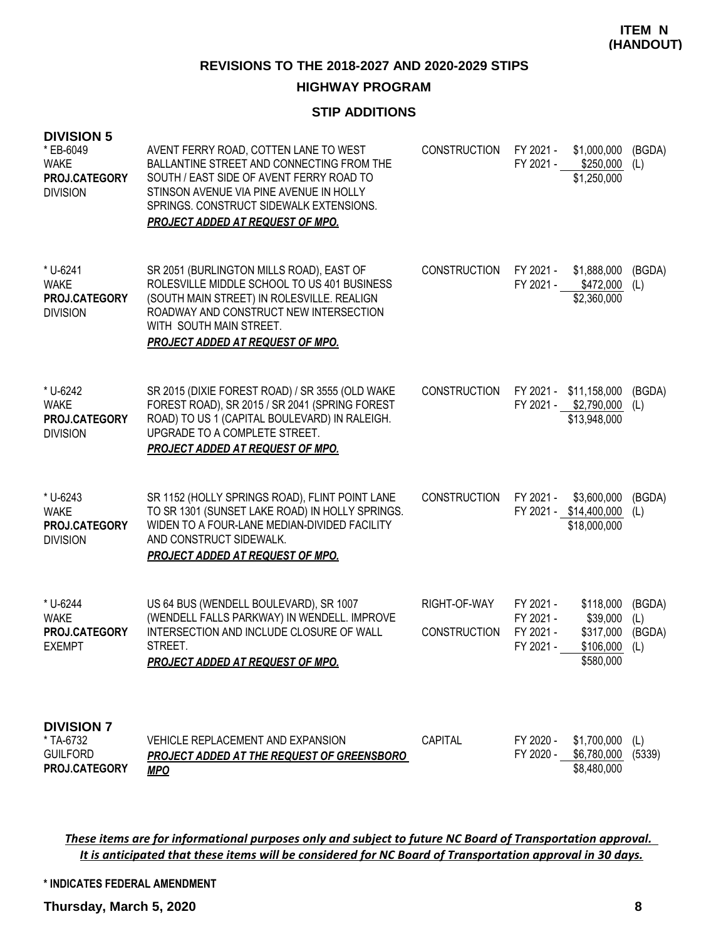**REVISIONS TO THE 2018-2027 AND 2020-2029 STIPS**

## **HIGHWAY PROGRAM**

## **STIP ADDITIONS**

| <b>DIVISION 5</b><br>* EB-6049<br><b>WAKE</b><br>PROJ.CATEGORY<br><b>DIVISION</b> | AVENT FERRY ROAD, COTTEN LANE TO WEST<br>BALLANTINE STREET AND CONNECTING FROM THE<br>SOUTH / EAST SIDE OF AVENT FERRY ROAD TO<br>STINSON AVENUE VIA PINE AVENUE IN HOLLY<br>SPRINGS, CONSTRUCT SIDEWALK EXTENSIONS.<br><b>PROJECT ADDED AT REQUEST OF MPO.</b> | <b>CONSTRUCTION</b>                 | FY 2021 -<br>FY 2021 -                           | \$1,000,000<br>\$250,000<br>\$1,250,000                         | (BGDA)<br>(L)                  |
|-----------------------------------------------------------------------------------|-----------------------------------------------------------------------------------------------------------------------------------------------------------------------------------------------------------------------------------------------------------------|-------------------------------------|--------------------------------------------------|-----------------------------------------------------------------|--------------------------------|
| * U-6241<br><b>WAKE</b><br>PROJ.CATEGORY<br><b>DIVISION</b>                       | SR 2051 (BURLINGTON MILLS ROAD), EAST OF<br>ROLESVILLE MIDDLE SCHOOL TO US 401 BUSINESS<br>(SOUTH MAIN STREET) IN ROLESVILLE. REALIGN<br>ROADWAY AND CONSTRUCT NEW INTERSECTION<br>WITH SOUTH MAIN STREET.<br><b>PROJECT ADDED AT REQUEST OF MPO.</b>           | <b>CONSTRUCTION</b>                 | FY 2021 -                                        | \$1,888,000<br>FY 2021 - \$472,000<br>\$2,360,000               | (BGDA)<br>(L)                  |
| * U-6242<br><b>WAKE</b><br>PROJ.CATEGORY<br><b>DIVISION</b>                       | SR 2015 (DIXIE FOREST ROAD) / SR 3555 (OLD WAKE<br>FOREST ROAD), SR 2015 / SR 2041 (SPRING FOREST<br>ROAD) TO US 1 (CAPITAL BOULEVARD) IN RALEIGH.<br>UPGRADE TO A COMPLETE STREET.<br><b>PROJECT ADDED AT REQUEST OF MPO.</b>                                  | <b>CONSTRUCTION</b>                 |                                                  | FY 2021 - \$11,158,000<br>FY 2021 - \$2,790,000<br>\$13,948,000 | (BGDA)<br>(L)                  |
| * U-6243<br><b>WAKE</b><br>PROJ.CATEGORY<br><b>DIVISION</b>                       | SR 1152 (HOLLY SPRINGS ROAD), FLINT POINT LANE<br>TO SR 1301 (SUNSET LAKE ROAD) IN HOLLY SPRINGS.<br>WIDEN TO A FOUR-LANE MEDIAN-DIVIDED FACILITY<br>AND CONSTRUCT SIDEWALK.<br><b>PROJECT ADDED AT REQUEST OF MPO.</b>                                         | <b>CONSTRUCTION</b>                 | FY 2021 -                                        | \$3,600,000<br>FY 2021 - \$14,400,000<br>\$18,000,000           | (BGDA)<br>(L)                  |
| * U-6244<br><b>WAKE</b><br>PROJ.CATEGORY<br><b>EXEMPT</b>                         | US 64 BUS (WENDELL BOULEVARD), SR 1007<br>(WENDELL FALLS PARKWAY) IN WENDELL. IMPROVE<br>INTERSECTION AND INCLUDE CLOSURE OF WALL<br>STREET.<br><b>PROJECT ADDED AT REQUEST OF MPO.</b>                                                                         | RIGHT-OF-WAY<br><b>CONSTRUCTION</b> | FY 2021 -<br>FY 2021 -<br>FY 2021 -<br>FY 2021 - | \$118,000<br>\$39,000<br>\$317,000<br>\$106,000<br>\$580,000    | (BGDA)<br>(L)<br>(BGDA)<br>(L) |
| <b>DIVISION 7</b><br>* TA-6732<br><b>GUILFORD</b><br>PROJ.CATEGORY                | <b>VEHICLE REPLACEMENT AND EXPANSION</b><br><b>PROJECT ADDED AT THE REQUEST OF GREENSBORO</b><br><b>MPO</b>                                                                                                                                                     | <b>CAPITAL</b>                      | FY 2020 -<br>FY 2020 -                           | \$1,700,000<br>\$6,780,000 (5339)<br>\$8,480,000                | (L)                            |

*These items are for informational purposes only and subject to future NC Board of Transportation approval. It is anticipated that these items will be considered for NC Board of Transportation approval in 30 days.*

**\* INDICATES FEDERAL AMENDMENT**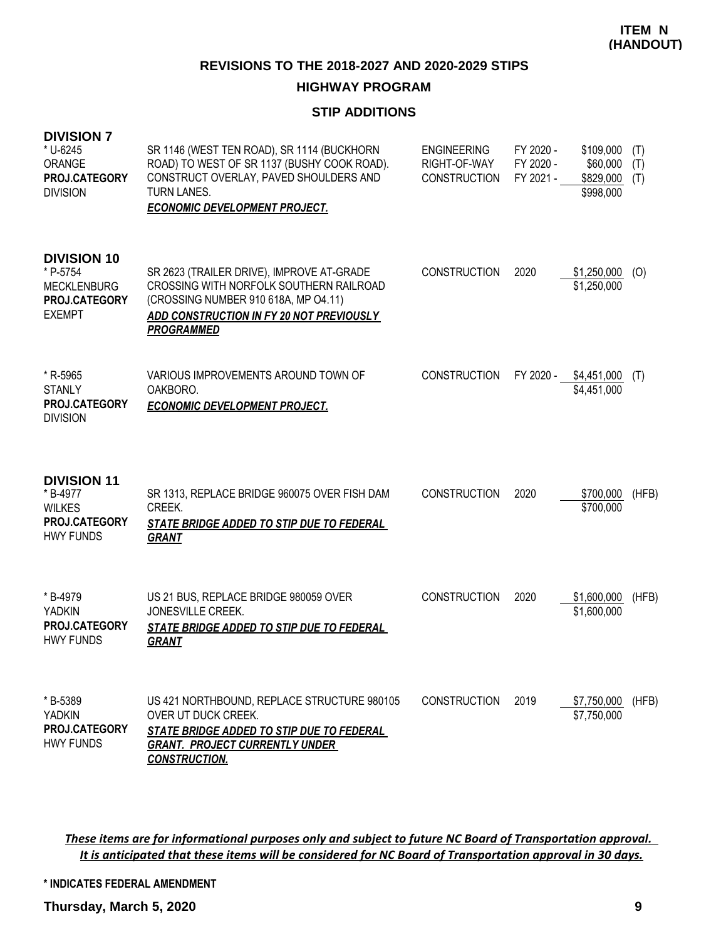## **HIGHWAY PROGRAM**

## **STIP ADDITIONS**

| <b>DIVISION 7</b><br>* U-6245<br>ORANGE<br>PROJ.CATEGORY<br><b>DIVISION</b>            | SR 1146 (WEST TEN ROAD), SR 1114 (BUCKHORN<br>ROAD) TO WEST OF SR 1137 (BUSHY COOK ROAD).<br>CONSTRUCT OVERLAY, PAVED SHOULDERS AND<br>TURN LANES.<br><b>ECONOMIC DEVELOPMENT PROJECT.</b>    | <b>ENGINEERING</b><br>RIGHT-OF-WAY<br><b>CONSTRUCTION</b> | FY 2020 -<br>FY 2020 -<br>FY 2021 - | \$109,000<br>\$60,000<br>\$829,000<br>\$998,000 | (T)<br>(T)<br>(T) |
|----------------------------------------------------------------------------------------|-----------------------------------------------------------------------------------------------------------------------------------------------------------------------------------------------|-----------------------------------------------------------|-------------------------------------|-------------------------------------------------|-------------------|
| <b>DIVISION 10</b><br>* P-5754<br><b>MECKLENBURG</b><br>PROJ.CATEGORY<br><b>EXEMPT</b> | SR 2623 (TRAILER DRIVE), IMPROVE AT-GRADE<br>CROSSING WITH NORFOLK SOUTHERN RAILROAD<br>(CROSSING NUMBER 910 618A, MP O4.11)<br>ADD CONSTRUCTION IN FY 20 NOT PREVIOUSLY<br><b>PROGRAMMED</b> | <b>CONSTRUCTION</b>                                       | 2020                                | \$1,250,000<br>\$1,250,000                      | (O)               |
| * R-5965<br><b>STANLY</b><br>PROJ.CATEGORY<br><b>DIVISION</b>                          | VARIOUS IMPROVEMENTS AROUND TOWN OF<br>OAKBORO.<br><b>ECONOMIC DEVELOPMENT PROJECT.</b>                                                                                                       | <b>CONSTRUCTION</b>                                       | FY 2020 -                           | \$4,451,000<br>\$4,451,000                      | (T)               |
| <b>DIVISION 11</b><br>* B-4977<br><b>WILKES</b><br>PROJ.CATEGORY<br><b>HWY FUNDS</b>   | SR 1313, REPLACE BRIDGE 960075 OVER FISH DAM<br>CREEK.<br>STATE BRIDGE ADDED TO STIP DUE TO FEDERAL<br><b>GRANT</b>                                                                           | <b>CONSTRUCTION</b>                                       | 2020                                | \$700,000<br>\$700,000                          | (HFB)             |
| * B-4979<br><b>YADKIN</b><br><b>PROJ.CATEGORY</b><br><b>HWY FUNDS</b>                  | US 21 BUS, REPLACE BRIDGE 980059 OVER<br>JONESVILLE CREEK.<br>STATE BRIDGE ADDED TO STIP DUE TO FEDERAL<br><b>GRANT</b>                                                                       | <b>CONSTRUCTION</b>                                       | 2020                                | \$1,600,000<br>\$1,600,000                      | (HFB)             |
| * B-5389<br><b>YADKIN</b><br>PROJ.CATEGORY<br><b>HWY FUNDS</b>                         | US 421 NORTHBOUND, REPLACE STRUCTURE 980105<br>OVER UT DUCK CREEK.<br>STATE BRIDGE ADDED TO STIP DUE TO FEDERAL<br><b>GRANT. PROJECT CURRENTLY UNDER</b><br><b>CONSTRUCTION.</b>              | <b>CONSTRUCTION</b>                                       | 2019                                | \$7,750,000<br>\$7,750,000                      | (HFB)             |

*These items are for informational purposes only and subject to future NC Board of Transportation approval. It is anticipated that these items will be considered for NC Board of Transportation approval in 30 days.*

**\* INDICATES FEDERAL AMENDMENT**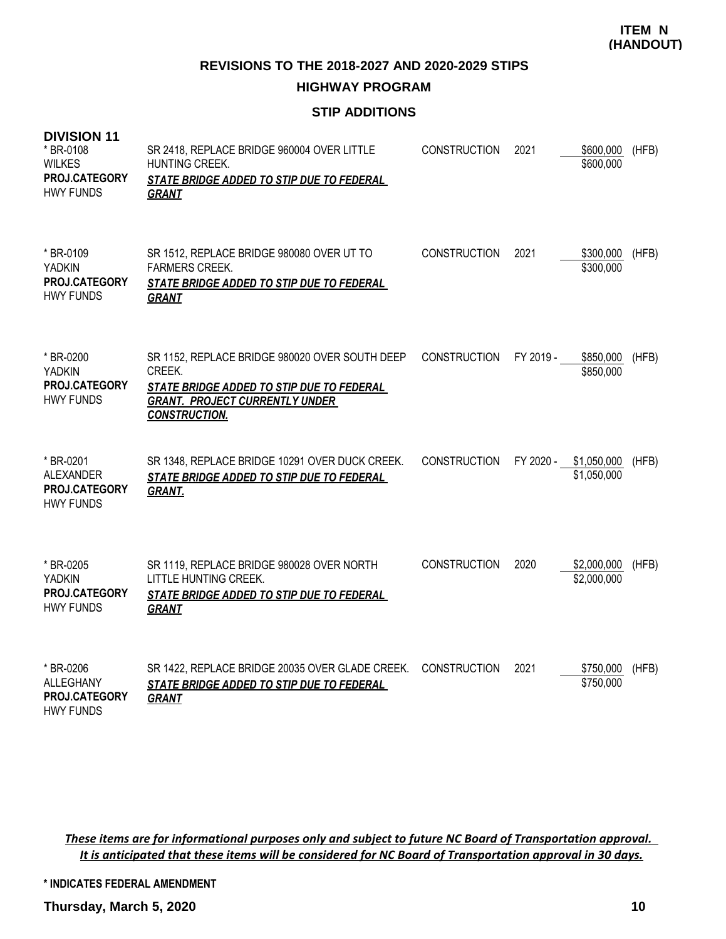**REVISIONS TO THE 2018-2027 AND 2020-2029 STIPS**

# **HIGHWAY PROGRAM**

# **STIP ADDITIONS**

| <b>DIVISION 11</b><br>* BR-0108<br><b>WILKES</b><br>PROJ.CATEGORY<br><b>HWY FUNDS</b> | SR 2418, REPLACE BRIDGE 960004 OVER LITTLE<br>HUNTING CREEK.<br>STATE BRIDGE ADDED TO STIP DUE TO FEDERAL<br><b>GRANT</b>                                              | <b>CONSTRUCTION</b> | 2021      | \$600,000<br>\$600,000     | (HFB) |
|---------------------------------------------------------------------------------------|------------------------------------------------------------------------------------------------------------------------------------------------------------------------|---------------------|-----------|----------------------------|-------|
| * BR-0109<br><b>YADKIN</b><br>PROJ.CATEGORY<br><b>HWY FUNDS</b>                       | SR 1512, REPLACE BRIDGE 980080 OVER UT TO<br><b>FARMERS CREEK.</b><br>STATE BRIDGE ADDED TO STIP DUE TO FEDERAL<br><b>GRANT</b>                                        | <b>CONSTRUCTION</b> | 2021      | \$300,000<br>\$300,000     | (HFB) |
| * BR-0200<br><b>YADKIN</b><br><b>PROJ.CATEGORY</b><br><b>HWY FUNDS</b>                | SR 1152, REPLACE BRIDGE 980020 OVER SOUTH DEEP<br>CREEK.<br>STATE BRIDGE ADDED TO STIP DUE TO FEDERAL<br><b>GRANT. PROJECT CURRENTLY UNDER</b><br><b>CONSTRUCTION.</b> | <b>CONSTRUCTION</b> | FY 2019 - | \$850,000<br>\$850,000     | (HFB) |
| * BR-0201<br><b>ALEXANDER</b><br>PROJ.CATEGORY<br><b>HWY FUNDS</b>                    | SR 1348, REPLACE BRIDGE 10291 OVER DUCK CREEK.<br>STATE BRIDGE ADDED TO STIP DUE TO FEDERAL<br><b>GRANT.</b>                                                           | <b>CONSTRUCTION</b> | FY 2020 - | \$1,050,000<br>\$1,050,000 | (HFB) |
| * BR-0205<br><b>YADKIN</b><br>PROJ.CATEGORY<br><b>HWY FUNDS</b>                       | SR 1119, REPLACE BRIDGE 980028 OVER NORTH<br>LITTLE HUNTING CREEK.<br>STATE BRIDGE ADDED TO STIP DUE TO FEDERAL<br><b>GRANT</b>                                        | <b>CONSTRUCTION</b> | 2020      | \$2,000,000<br>\$2,000,000 | (HFB) |
| * BR-0206<br><b>ALLEGHANY</b><br>PROJ.CATEGORY<br>HWY FUNDS                           | SR 1422, REPLACE BRIDGE 20035 OVER GLADE CREEK.<br>STATE BRIDGE ADDED TO STIP DUE TO FEDERAL<br><b>GRANT</b>                                                           | <b>CONSTRUCTION</b> | 2021      | \$750,000<br>\$750,000     | (HFB) |

*These items are for informational purposes only and subject to future NC Board of Transportation approval. It is anticipated that these items will be considered for NC Board of Transportation approval in 30 days.*

**\* INDICATES FEDERAL AMENDMENT**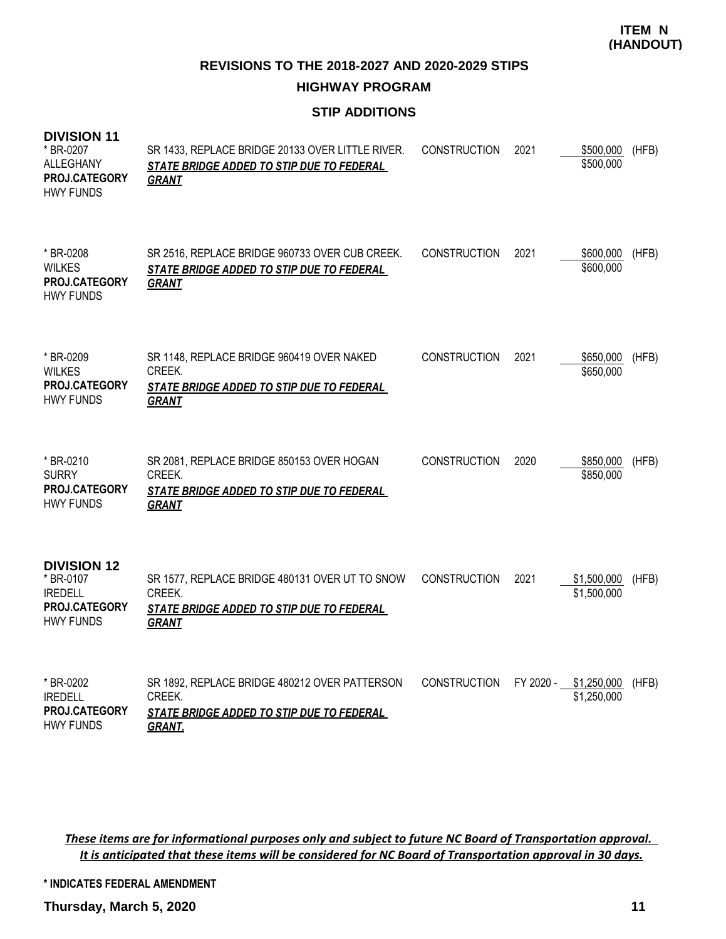**REVISIONS TO THE 2018-2027 AND 2020-2029 STIPS**

# **HIGHWAY PROGRAM**

# **STIP ADDITIONS**

| <b>DIVISION 11</b><br>* BR-0207<br><b>ALLEGHANY</b><br>PROJ.CATEGORY<br><b>HWY FUNDS</b> | SR 1433, REPLACE BRIDGE 20133 OVER LITTLE RIVER.<br>STATE BRIDGE ADDED TO STIP DUE TO FEDERAL<br><b>GRANT</b>         | <b>CONSTRUCTION</b> | 2021 | \$500,000<br>\$500,000               | (HFB) |
|------------------------------------------------------------------------------------------|-----------------------------------------------------------------------------------------------------------------------|---------------------|------|--------------------------------------|-------|
| * BR-0208<br><b>WILKES</b><br>PROJ.CATEGORY<br><b>HWY FUNDS</b>                          | SR 2516, REPLACE BRIDGE 960733 OVER CUB CREEK.<br>STATE BRIDGE ADDED TO STIP DUE TO FEDERAL<br><b>GRANT</b>           | <b>CONSTRUCTION</b> | 2021 | \$600,000<br>\$600,000               | (HFB) |
| * BR-0209<br><b>WILKES</b><br>PROJ.CATEGORY<br><b>HWY FUNDS</b>                          | SR 1148, REPLACE BRIDGE 960419 OVER NAKED<br>CREEK.<br>STATE BRIDGE ADDED TO STIP DUE TO FEDERAL<br><b>GRANT</b>      | <b>CONSTRUCTION</b> | 2021 | \$650,000<br>\$650,000               | (HFB) |
| * BR-0210<br><b>SURRY</b><br>PROJ.CATEGORY<br><b>HWY FUNDS</b>                           | SR 2081, REPLACE BRIDGE 850153 OVER HOGAN<br>CREEK.<br>STATE BRIDGE ADDED TO STIP DUE TO FEDERAL<br><b>GRANT</b>      | <b>CONSTRUCTION</b> | 2020 | \$850,000<br>\$850,000               | (HFB) |
| <b>DIVISION 12</b><br>* BR-0107<br><b>IREDELL</b><br>PROJ.CATEGORY<br><b>HWY FUNDS</b>   | SR 1577, REPLACE BRIDGE 480131 OVER UT TO SNOW<br>CREEK.<br>STATE BRIDGE ADDED TO STIP DUE TO FEDERAL<br><b>GRANT</b> | <b>CONSTRUCTION</b> | 2021 | \$1,500,000<br>\$1,500,000           | (HFB) |
| * BR-0202<br><b>IREDELL</b><br>PROJ.CATEGORY<br><b>HWY FUNDS</b>                         | SR 1892, REPLACE BRIDGE 480212 OVER PATTERSON<br>CREEK.<br>STATE BRIDGE ADDED TO STIP DUE TO FEDERAL<br><b>GRANT.</b> | <b>CONSTRUCTION</b> |      | FY 2020 - \$1,250,000<br>\$1,250,000 | (HFB) |

*These items are for informational purposes only and subject to future NC Board of Transportation approval. It is anticipated that these items will be considered for NC Board of Transportation approval in 30 days.*

**\* INDICATES FEDERAL AMENDMENT**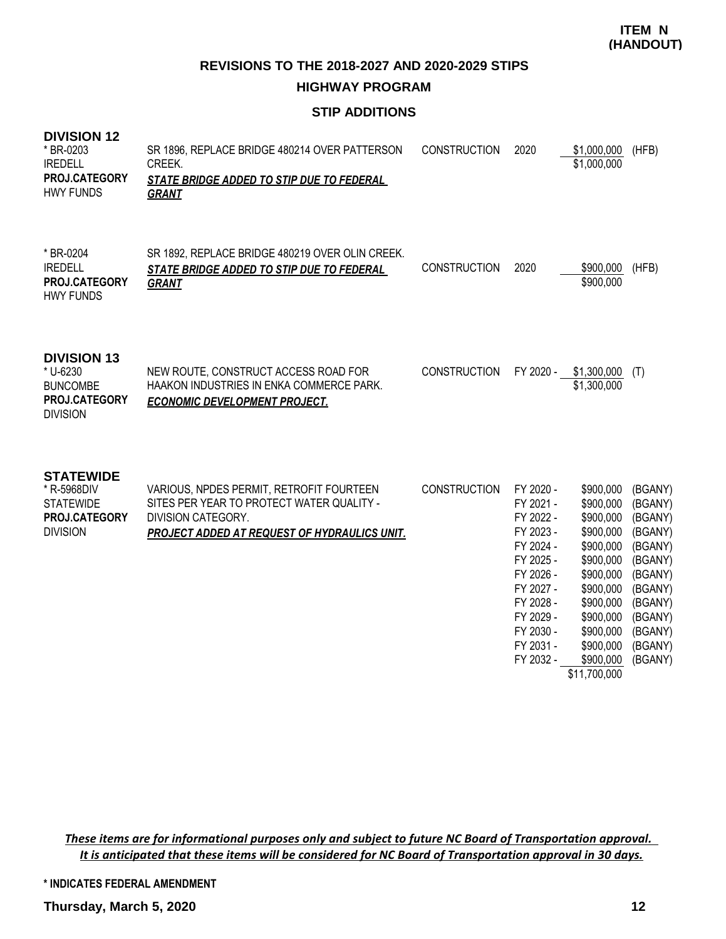# **HIGHWAY PROGRAM**

# **STIP ADDITIONS**

# **DIVISION 12**

| * BR-0203<br><b>IREDELL</b><br>PROJ.CATEGORY<br><b>HWY FUNDS</b>                        | SR 1896, REPLACE BRIDGE 480214 OVER PATTERSON<br>CREEK.<br>STATE BRIDGE ADDED TO STIP DUE TO FEDERAL<br><b>GRANT</b>                                               | <b>CONSTRUCTION</b> | 2020                                                                                                                                                     | \$1,000,000<br>\$1,000,000                                                                                                                               | (HFB)                                                                                                                            |
|-----------------------------------------------------------------------------------------|--------------------------------------------------------------------------------------------------------------------------------------------------------------------|---------------------|----------------------------------------------------------------------------------------------------------------------------------------------------------|----------------------------------------------------------------------------------------------------------------------------------------------------------|----------------------------------------------------------------------------------------------------------------------------------|
| * BR-0204<br><b>IREDELL</b><br>PROJ.CATEGORY<br><b>HWY FUNDS</b>                        | SR 1892, REPLACE BRIDGE 480219 OVER OLIN CREEK.<br>STATE BRIDGE ADDED TO STIP DUE TO FEDERAL<br><b>GRANT</b>                                                       | <b>CONSTRUCTION</b> | 2020                                                                                                                                                     | \$900,000<br>\$900,000                                                                                                                                   | (HFB)                                                                                                                            |
| <b>DIVISION 13</b><br>* U-6230<br><b>BUNCOMBE</b><br>PROJ.CATEGORY<br><b>DIVISION</b>   | NEW ROUTE, CONSTRUCT ACCESS ROAD FOR<br><b>HAAKON INDUSTRIES IN ENKA COMMERCE PARK.</b><br><b>ECONOMIC DEVELOPMENT PROJECT.</b>                                    | <b>CONSTRUCTION</b> | FY 2020 -                                                                                                                                                | \$1,300,000<br>\$1,300,000                                                                                                                               | (T)                                                                                                                              |
| <b>STATEWIDE</b><br>* R-5968DIV<br><b>STATEWIDE</b><br>PROJ.CATEGORY<br><b>DIVISION</b> | VARIOUS, NPDES PERMIT, RETROFIT FOURTEEN<br>SITES PER YEAR TO PROTECT WATER QUALITY -<br>DIVISION CATEGORY.<br><b>PROJECT ADDED AT REQUEST OF HYDRAULICS UNIT.</b> | <b>CONSTRUCTION</b> | FY 2020 -<br>FY 2021 -<br>FY 2022 -<br>FY 2023 -<br>FY 2024 -<br>FY 2025 -<br>FY 2026 -<br>FY 2027 -<br>FY 2028 -<br>FY 2029 -<br>FY 2030 -<br>FY 2031 - | \$900,000<br>\$900,000<br>\$900,000<br>\$900,000<br>\$900,000<br>\$900,000<br>\$900,000<br>\$900,000<br>\$900,000<br>\$900,000<br>\$900,000<br>\$900,000 | (BGANY)<br>(BGANY)<br>(BGANY)<br>(BGANY)<br>(BGANY)<br>(BGANY)<br>(BGANY)<br>(BGANY)<br>(BGANY)<br>(BGANY)<br>(BGANY)<br>(BGANY) |

FY 2031 - \$900,000 (BGANY)<br>FY 2032 - \$900,000 (BGANY) \$11,700,000

\$900,000 (BGANY)

*These items are for informational purposes only and subject to future NC Board of Transportation approval. It is anticipated that these items will be considered for NC Board of Transportation approval in 30 days.*

**\* INDICATES FEDERAL AMENDMENT**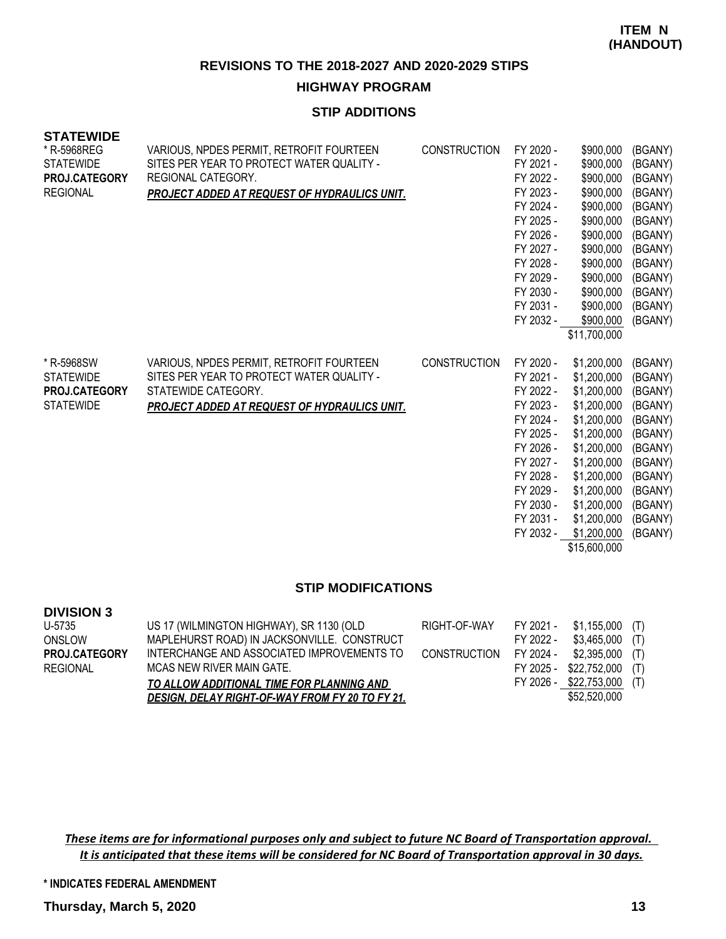## **HIGHWAY PROGRAM**

## **STIP ADDITIONS**

| <b>STATEWIDE</b><br>* R-5968REG<br><b>STATEWIDE</b><br>PROJ.CATEGORY<br><b>REGIONAL</b> | VARIOUS, NPDES PERMIT, RETROFIT FOURTEEN<br>SITES PER YEAR TO PROTECT WATER QUALITY -<br>REGIONAL CATEGORY.<br><b>PROJECT ADDED AT REQUEST OF HYDRAULICS UNIT.</b>  | <b>CONSTRUCTION</b> | FY 2020 -<br>FY 2021 -<br>FY 2022 -<br>FY 2023 -<br>FY 2024 -<br>FY 2025 -<br>FY 2026 -<br>FY 2027 -<br>FY 2028 -<br>FY 2029 -<br>FY 2030 -<br>FY 2031 -<br>FY 2032 - | \$900,000<br>\$900,000<br>\$900,000<br>\$900,000<br>\$900,000<br>\$900,000<br>\$900,000<br>\$900,000<br>\$900,000<br>\$900,000<br>\$900,000<br>\$900,000<br>\$900,000<br>\$11,700,000           | (BGANY)<br>(BGANY)<br>(BGANY)<br>(BGANY)<br>(BGANY)<br>(BGANY)<br>(BGANY)<br>(BGANY)<br>(BGANY)<br>(BGANY)<br>(BGANY)<br>(BGANY)<br>(BGANY) |
|-----------------------------------------------------------------------------------------|---------------------------------------------------------------------------------------------------------------------------------------------------------------------|---------------------|-----------------------------------------------------------------------------------------------------------------------------------------------------------------------|-------------------------------------------------------------------------------------------------------------------------------------------------------------------------------------------------|---------------------------------------------------------------------------------------------------------------------------------------------|
| * R-5968SW<br><b>STATEWIDE</b><br>PROJ.CATEGORY<br><b>STATEWIDE</b>                     | VARIOUS, NPDES PERMIT, RETROFIT FOURTEEN<br>SITES PER YEAR TO PROTECT WATER QUALITY -<br>STATEWIDE CATEGORY.<br><b>PROJECT ADDED AT REQUEST OF HYDRAULICS UNIT.</b> | <b>CONSTRUCTION</b> | FY 2020 -<br>FY 2021 -<br>FY 2022 -<br>FY 2023 -<br>FY 2024 -<br>FY 2025 -<br>FY 2026 -<br>FY 2027 -<br>FY 2028 -<br>FY 2029 -<br>FY 2030 -<br>FY 2031 -<br>FY 2032 - | \$1,200,000<br>\$1,200,000<br>\$1,200,000<br>\$1,200,000<br>\$1,200,000<br>\$1,200,000<br>\$1,200,000<br>\$1,200,000<br>\$1,200,000<br>\$1,200,000<br>\$1,200,000<br>\$1,200,000<br>\$1,200,000 | (BGANY)<br>(BGANY)<br>(BGANY)<br>(BGANY)<br>(BGANY)<br>(BGANY)<br>(BGANY)<br>(BGANY)<br>(BGANY)<br>(BGANY)<br>(BGANY)<br>(BGANY)<br>(BGANY) |

\$15,600,000

#### **STIP MODIFICATIONS**

## **DIVISION 3**

| US 17 (WILMINGTON HIGHWAY), SR 1130 (OLD        | RIGHT-OF-WAY |           |              |                                                                                                                                                    |
|-------------------------------------------------|--------------|-----------|--------------|----------------------------------------------------------------------------------------------------------------------------------------------------|
| MAPLEHURST ROAD) IN JACKSONVILLE. CONSTRUCT     |              | FY 2022 - |              |                                                                                                                                                    |
| INTERCHANGE AND ASSOCIATED IMPROVEMENTS TO      |              |           |              |                                                                                                                                                    |
| MCAS NEW RIVER MAIN GATE.                       |              |           |              |                                                                                                                                                    |
| TO ALLOW ADDITIONAL TIME FOR PLANNING AND       |              |           |              |                                                                                                                                                    |
| DESIGN, DELAY RIGHT-OF-WAY FROM FY 20 TO FY 21. |              |           | \$52,520,000 |                                                                                                                                                    |
|                                                 |              |           |              | FY 2021 - \$1,155,000 (T)<br>\$3,465,000 (T)<br>CONSTRUCTION FY 2024 - \$2,395,000 (T)<br>FY 2025 - \$22,752,000 (T)<br>FY 2026 - \$22,753,000 (T) |

*These items are for informational purposes only and subject to future NC Board of Transportation approval. It is anticipated that these items will be considered for NC Board of Transportation approval in 30 days.*

**\* INDICATES FEDERAL AMENDMENT**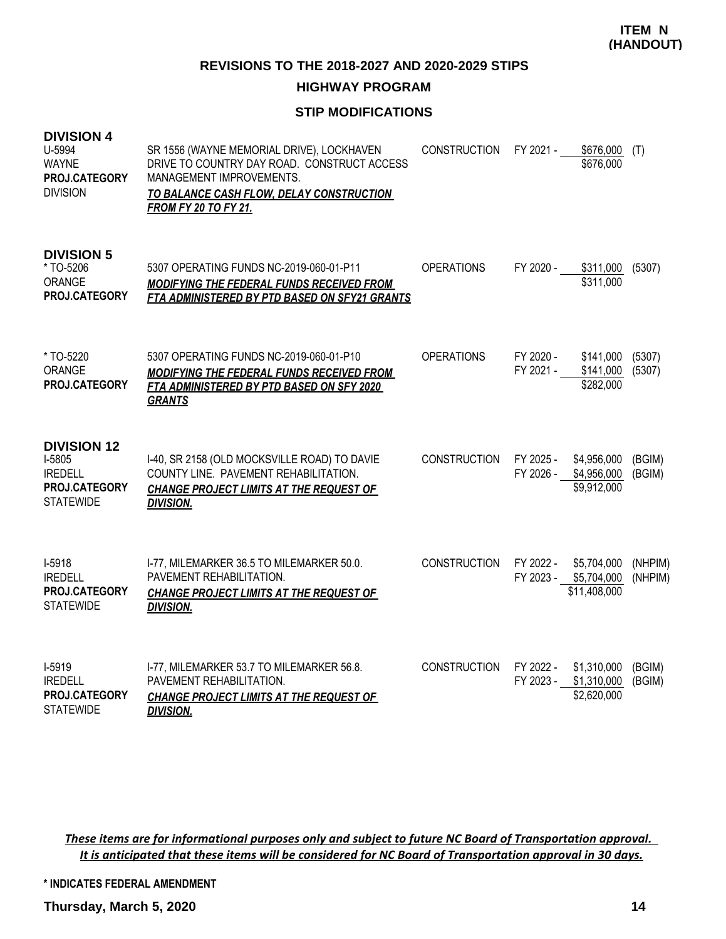## **HIGHWAY PROGRAM**

## **STIP MODIFICATIONS**

| <b>DIVISION 4</b><br>U-5994<br><b>WAYNE</b><br>PROJ.CATEGORY<br><b>DIVISION</b>     | SR 1556 (WAYNE MEMORIAL DRIVE), LOCKHAVEN<br>DRIVE TO COUNTRY DAY ROAD. CONSTRUCT ACCESS<br>MANAGEMENT IMPROVEMENTS.<br>TO BALANCE CASH FLOW, DELAY CONSTRUCTION<br><b>FROM FY 20 TO FY 21.</b> | <b>CONSTRUCTION</b> | FY 2021 -              | \$676,000<br>\$676,000                               | (T)                |
|-------------------------------------------------------------------------------------|-------------------------------------------------------------------------------------------------------------------------------------------------------------------------------------------------|---------------------|------------------------|------------------------------------------------------|--------------------|
| <b>DIVISION 5</b><br>* TO-5206<br>ORANGE<br>PROJ.CATEGORY                           | 5307 OPERATING FUNDS NC-2019-060-01-P11<br>MODIFYING THE FEDERAL FUNDS RECEIVED FROM<br>FTA ADMINISTERED BY PTD BASED ON SFY21 GRANTS                                                           | <b>OPERATIONS</b>   | FY 2020 -              | \$311,000<br>\$311,000                               | (5307)             |
| * TO-5220<br>ORANGE<br>PROJ.CATEGORY                                                | 5307 OPERATING FUNDS NC-2019-060-01-P10<br><b>MODIFYING THE FEDERAL FUNDS RECEIVED FROM</b><br>FTA ADMINISTERED BY PTD BASED ON SFY 2020<br><b>GRANTS</b>                                       | <b>OPERATIONS</b>   | FY 2020 -<br>FY 2021 - | \$141,000<br>\$141,000<br>\$282,000                  | (5307)<br>(5307)   |
| <b>DIVISION 12</b><br>I-5805<br><b>IREDELL</b><br>PROJ.CATEGORY<br><b>STATEWIDE</b> | I-40, SR 2158 (OLD MOCKSVILLE ROAD) TO DAVIE<br>COUNTY LINE. PAVEMENT REHABILITATION.<br><b>CHANGE PROJECT LIMITS AT THE REQUEST OF</b><br><b>DIVISION.</b>                                     | <b>CONSTRUCTION</b> | FY 2025 -<br>FY 2026 - | \$4,956,000<br>\$4,956,000<br>\$9,912,000            | (BGIM)<br>(BGIM)   |
| $I-5918$<br><b>IREDELL</b><br>PROJ.CATEGORY<br><b>STATEWIDE</b>                     | I-77, MILEMARKER 36.5 TO MILEMARKER 50.0.<br>PAVEMENT REHABILITATION.<br><b>CHANGE PROJECT LIMITS AT THE REQUEST OF</b><br><b>DIVISION.</b>                                                     | <b>CONSTRUCTION</b> | FY 2022 -              | \$5,704,000<br>FY 2023 - \$5,704,000<br>\$11,408,000 | (NHPIM)<br>(NHPIM) |
| $1-5919$<br><b>IREDELL</b><br>PROJ.CATEGORY<br><b>STATEWIDE</b>                     | I-77, MILEMARKER 53.7 TO MILEMARKER 56.8.<br>PAVEMENT REHABILITATION.<br>CHANGE PROJECT LIMITS AT THE REQUEST OF<br><b>DIVISION.</b>                                                            | <b>CONSTRUCTION</b> | FY 2022 -<br>FY 2023 - | \$1,310,000<br>\$1,310,000<br>\$2,620,000            | (BGIM)<br>(BGIM)   |

*These items are for informational purposes only and subject to future NC Board of Transportation approval. It is anticipated that these items will be considered for NC Board of Transportation approval in 30 days.*

**\* INDICATES FEDERAL AMENDMENT**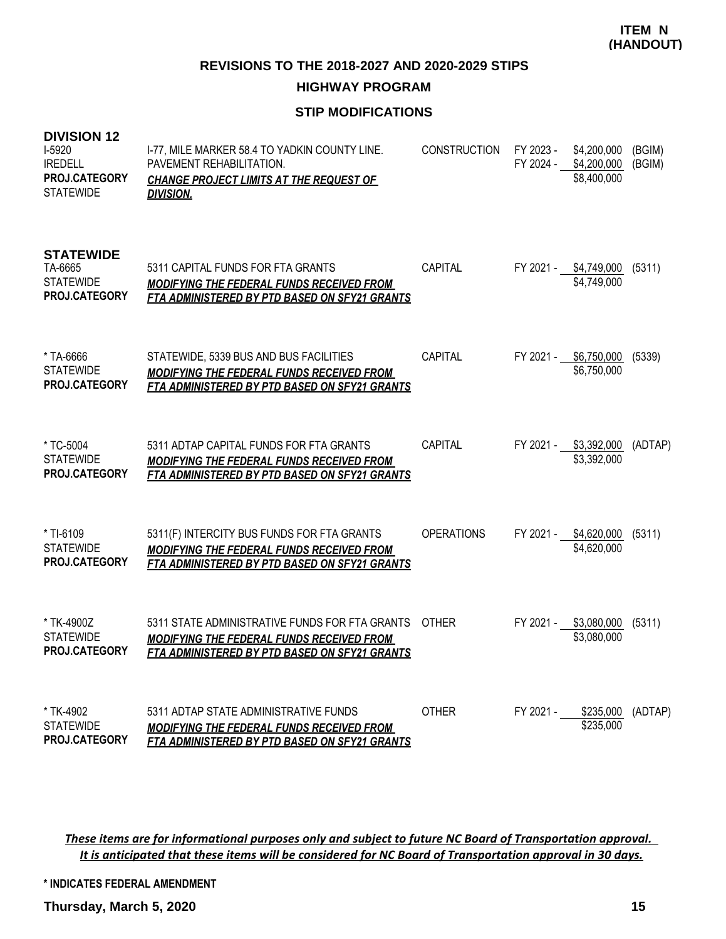**HIGHWAY PROGRAM**

# **STIP MODIFICATIONS**

| <b>DIVISION 12</b><br>I-5920<br><b>IREDELL</b><br>PROJ.CATEGORY<br><b>STATEWIDE</b> | I-77, MILE MARKER 58.4 TO YADKIN COUNTY LINE.<br>PAVEMENT REHABILITATION.<br><b>CHANGE PROJECT LIMITS AT THE REQUEST OF</b><br><u>DIVISION.</u>   | <b>CONSTRUCTION</b> | FY 2023 -<br>FY 2024 - | \$4,200,000<br>\$4,200,000<br>\$8,400,000 | (BGIM)<br>(BGIM) |
|-------------------------------------------------------------------------------------|---------------------------------------------------------------------------------------------------------------------------------------------------|---------------------|------------------------|-------------------------------------------|------------------|
| <b>STATEWIDE</b><br>TA-6665<br><b>STATEWIDE</b><br>PROJ.CATEGORY                    | 5311 CAPITAL FUNDS FOR FTA GRANTS<br>MODIFYING THE FEDERAL FUNDS RECEIVED FROM<br>FTA ADMINISTERED BY PTD BASED ON SFY21 GRANTS                   | CAPITAL             | FY 2021 -              | \$4,749,000<br>\$4,749,000                | (5311)           |
| * TA-6666<br><b>STATEWIDE</b><br>PROJ.CATEGORY                                      | STATEWIDE, 5339 BUS AND BUS FACILITIES<br><b>MODIFYING THE FEDERAL FUNDS RECEIVED FROM</b><br>FTA ADMINISTERED BY PTD BASED ON SFY21 GRANTS       | CAPITAL             | FY 2021 -              | \$6,750,000<br>\$6,750,000                | (5339)           |
| * TC-5004<br><b>STATEWIDE</b><br>PROJ.CATEGORY                                      | 5311 ADTAP CAPITAL FUNDS FOR FTA GRANTS<br>MODIFYING THE FEDERAL FUNDS RECEIVED FROM<br>FTA ADMINISTERED BY PTD BASED ON SFY21 GRANTS             | CAPITAL             | FY 2021 -              | \$3,392,000<br>\$3,392,000                | (ADTAP)          |
| * TI-6109<br><b>STATEWIDE</b><br><b>PROJ.CATEGORY</b>                               | 5311(F) INTERCITY BUS FUNDS FOR FTA GRANTS<br>MODIFYING THE FEDERAL FUNDS RECEIVED FROM<br>FTA ADMINISTERED BY PTD BASED ON SFY21 GRANTS          | <b>OPERATIONS</b>   |                        | FY 2021 - \$4,620,000<br>\$4,620,000      | (5311)           |
| * TK-4900Z<br><b>STATEWIDE</b><br>PROJ.CATEGORY                                     | 5311 STATE ADMINISTRATIVE FUNDS FOR FTA GRANTS<br>MODIFYING THE FEDERAL FUNDS RECEIVED FROM<br>FTA ADMINISTERED BY PTD BASED ON SFY21 GRANTS      | <b>OTHER</b>        |                        | FY 2021 - \$3,080,000<br>\$3,080,000      | (5311)           |
| * TK-4902<br><b>STATEWIDE</b><br>PROJ.CATEGORY                                      | 5311 ADTAP STATE ADMINISTRATIVE FUNDS<br><b>MODIFYING THE FEDERAL FUNDS RECEIVED FROM</b><br><b>FTA ADMINISTERED BY PTD BASED ON SFY21 GRANTS</b> | OTHER               | FY 2021 -              | \$235,000<br>\$235,000                    | (ADTAP)          |

*These items are for informational purposes only and subject to future NC Board of Transportation approval. It is anticipated that these items will be considered for NC Board of Transportation approval in 30 days.*

**\* INDICATES FEDERAL AMENDMENT**